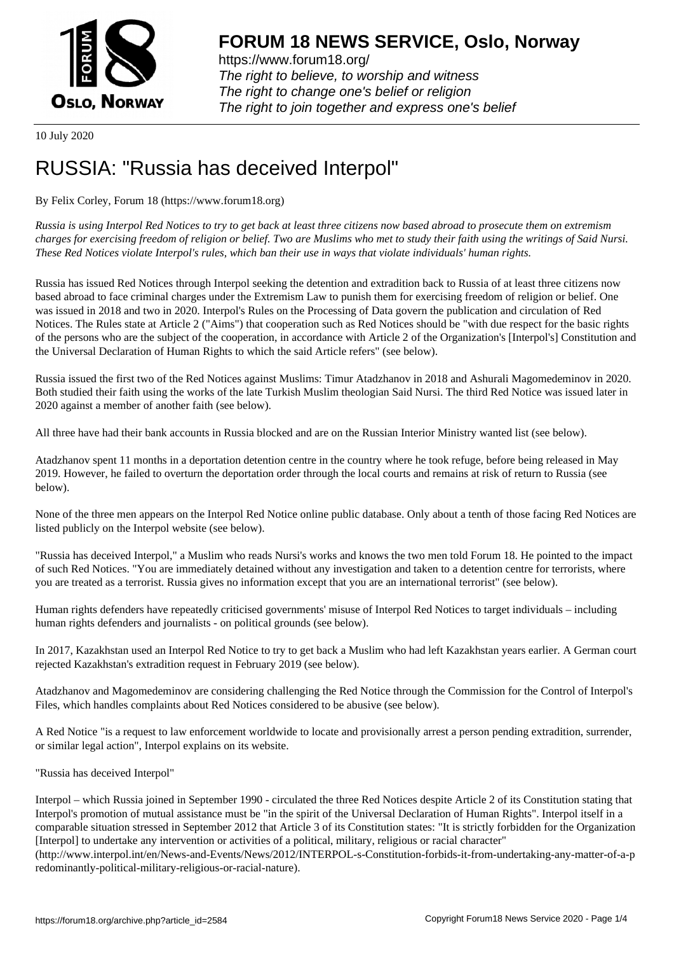

https://www.forum18.org/ The right to believe, to worship and witness The right to change one's belief or religion [The right to join together a](https://www.forum18.org/)nd express one's belief

10 July 2020

## [RUSSIA: "Russ](https://www.forum18.org)ia has deceived Interpol"

By Felix Corley, Forum 18 (https://www.forum18.org)

*Russia is using Interpol Red Notices to try to get back at least three citizens now based abroad to prosecute them on extremism charges for exercising freedom of religion or belief. Two are Muslims who met to study their faith using the writings of Said Nursi. These Red Notices violate Interpol's rules, which ban their use in ways that violate individuals' human rights.*

Russia has issued Red Notices through Interpol seeking the detention and extradition back to Russia of at least three citizens now based abroad to face criminal charges under the Extremism Law to punish them for exercising freedom of religion or belief. One was issued in 2018 and two in 2020. Interpol's Rules on the Processing of Data govern the publication and circulation of Red Notices. The Rules state at Article 2 ("Aims") that cooperation such as Red Notices should be "with due respect for the basic rights of the persons who are the subject of the cooperation, in accordance with Article 2 of the Organization's [Interpol's] Constitution and the Universal Declaration of Human Rights to which the said Article refers" (see below).

Russia issued the first two of the Red Notices against Muslims: Timur Atadzhanov in 2018 and Ashurali Magomedeminov in 2020. Both studied their faith using the works of the late Turkish Muslim theologian Said Nursi. The third Red Notice was issued later in 2020 against a member of another faith (see below).

All three have had their bank accounts in Russia blocked and are on the Russian Interior Ministry wanted list (see below).

Atadzhanov spent 11 months in a deportation detention centre in the country where he took refuge, before being released in May 2019. However, he failed to overturn the deportation order through the local courts and remains at risk of return to Russia (see below).

None of the three men appears on the Interpol Red Notice online public database. Only about a tenth of those facing Red Notices are listed publicly on the Interpol website (see below).

"Russia has deceived Interpol," a Muslim who reads Nursi's works and knows the two men told Forum 18. He pointed to the impact of such Red Notices. "You are immediately detained without any investigation and taken to a detention centre for terrorists, where you are treated as a terrorist. Russia gives no information except that you are an international terrorist" (see below).

Human rights defenders have repeatedly criticised governments' misuse of Interpol Red Notices to target individuals – including human rights defenders and journalists - on political grounds (see below).

In 2017, Kazakhstan used an Interpol Red Notice to try to get back a Muslim who had left Kazakhstan years earlier. A German court rejected Kazakhstan's extradition request in February 2019 (see below).

Atadzhanov and Magomedeminov are considering challenging the Red Notice through the Commission for the Control of Interpol's Files, which handles complaints about Red Notices considered to be abusive (see below).

A Red Notice "is a request to law enforcement worldwide to locate and provisionally arrest a person pending extradition, surrender, or similar legal action", Interpol explains on its website.

"Russia has deceived Interpol"

Interpol – which Russia joined in September 1990 - circulated the three Red Notices despite Article 2 of its Constitution stating that Interpol's promotion of mutual assistance must be "in the spirit of the Universal Declaration of Human Rights". Interpol itself in a comparable situation stressed in September 2012 that Article 3 of its Constitution states: "It is strictly forbidden for the Organization [Interpol] to undertake any intervention or activities of a political, military, religious or racial character"

(http://www.interpol.int/en/News-and-Events/News/2012/INTERPOL-s-Constitution-forbids-it-from-undertaking-any-matter-of-a-p redominantly-political-military-religious-or-racial-nature).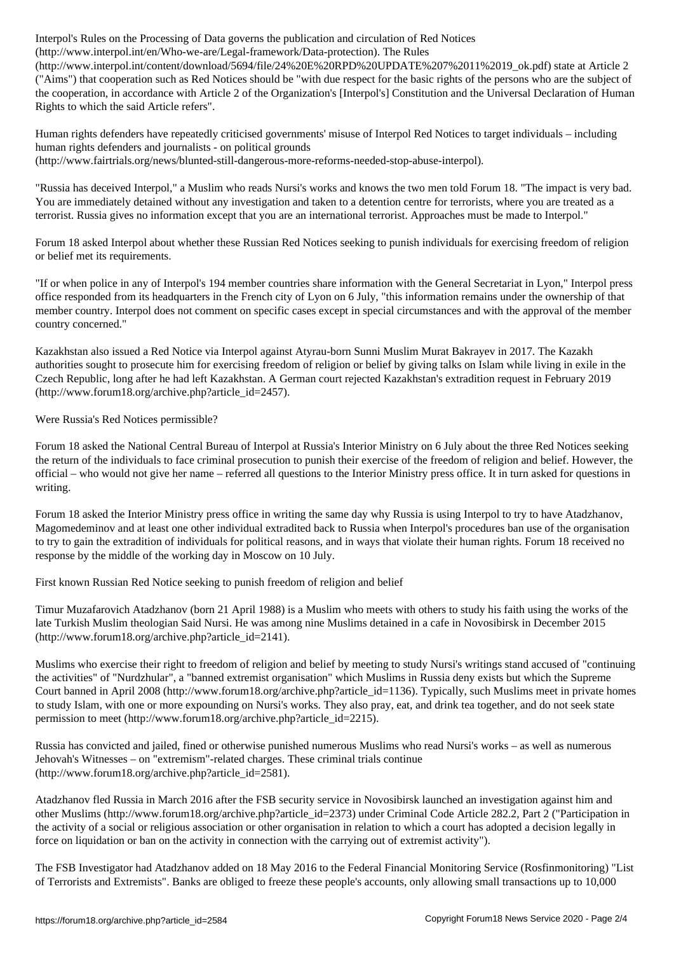(http://www.interpol.interpol.interpol.interpol.interpol.interpol.interpol.interpol.interpol.interpol.interpol.interpol.interpol.interpol.interpol.interpol.interpol.interpol.interpol.interpol.interpol.interpol.interpol.in (http://www.interpol.int/content/download/5694/file/24%20E%20RPD%20UPDATE%207%2011%2019\_ok.pdf) state at Article 2 ("Aims") that cooperation such as Red Notices should be "with due respect for the basic rights of the persons who are the subject of the cooperation, in accordance with Article 2 of the Organization's [Interpol's] Constitution and the Universal Declaration of Human Rights to which the said Article refers".

Human rights defenders have repeatedly criticised governments' misuse of Interpol Red Notices to target individuals – including human rights defenders and journalists - on political grounds (http://www.fairtrials.org/news/blunted-still-dangerous-more-reforms-needed-stop-abuse-interpol).

"Russia has deceived Interpol," a Muslim who reads Nursi's works and knows the two men told Forum 18. "The impact is very bad. You are immediately detained without any investigation and taken to a detention centre for terrorists, where you are treated as a terrorist. Russia gives no information except that you are an international terrorist. Approaches must be made to Interpol."

Forum 18 asked Interpol about whether these Russian Red Notices seeking to punish individuals for exercising freedom of religion or belief met its requirements.

"If or when police in any of Interpol's 194 member countries share information with the General Secretariat in Lyon," Interpol press office responded from its headquarters in the French city of Lyon on 6 July, "this information remains under the ownership of that member country. Interpol does not comment on specific cases except in special circumstances and with the approval of the member country concerned."

Kazakhstan also issued a Red Notice via Interpol against Atyrau-born Sunni Muslim Murat Bakrayev in 2017. The Kazakh authorities sought to prosecute him for exercising freedom of religion or belief by giving talks on Islam while living in exile in the Czech Republic, long after he had left Kazakhstan. A German court rejected Kazakhstan's extradition request in February 2019 (http://www.forum18.org/archive.php?article\_id=2457).

Were Russia's Red Notices permissible?

Forum 18 asked the National Central Bureau of Interpol at Russia's Interior Ministry on 6 July about the three Red Notices seeking the return of the individuals to face criminal prosecution to punish their exercise of the freedom of religion and belief. However, the official – who would not give her name – referred all questions to the Interior Ministry press office. It in turn asked for questions in writing.

Forum 18 asked the Interior Ministry press office in writing the same day why Russia is using Interpol to try to have Atadzhanov, Magomedeminov and at least one other individual extradited back to Russia when Interpol's procedures ban use of the organisation to try to gain the extradition of individuals for political reasons, and in ways that violate their human rights. Forum 18 received no response by the middle of the working day in Moscow on 10 July.

First known Russian Red Notice seeking to punish freedom of religion and belief

Timur Muzafarovich Atadzhanov (born 21 April 1988) is a Muslim who meets with others to study his faith using the works of the late Turkish Muslim theologian Said Nursi. He was among nine Muslims detained in a cafe in Novosibirsk in December 2015 (http://www.forum18.org/archive.php?article\_id=2141).

Muslims who exercise their right to freedom of religion and belief by meeting to study Nursi's writings stand accused of "continuing the activities" of "Nurdzhular", a "banned extremist organisation" which Muslims in Russia deny exists but which the Supreme Court banned in April 2008 (http://www.forum18.org/archive.php?article\_id=1136). Typically, such Muslims meet in private homes to study Islam, with one or more expounding on Nursi's works. They also pray, eat, and drink tea together, and do not seek state permission to meet (http://www.forum18.org/archive.php?article\_id=2215).

Russia has convicted and jailed, fined or otherwise punished numerous Muslims who read Nursi's works – as well as numerous Jehovah's Witnesses – on "extremism"-related charges. These criminal trials continue (http://www.forum18.org/archive.php?article\_id=2581).

Atadzhanov fled Russia in March 2016 after the FSB security service in Novosibirsk launched an investigation against him and other Muslims (http://www.forum18.org/archive.php?article\_id=2373) under Criminal Code Article 282.2, Part 2 ("Participation in the activity of a social or religious association or other organisation in relation to which a court has adopted a decision legally in force on liquidation or ban on the activity in connection with the carrying out of extremist activity").

The FSB Investigator had Atadzhanov added on 18 May 2016 to the Federal Financial Monitoring Service (Rosfinmonitoring) "List of Terrorists and Extremists". Banks are obliged to freeze these people's accounts, only allowing small transactions up to 10,000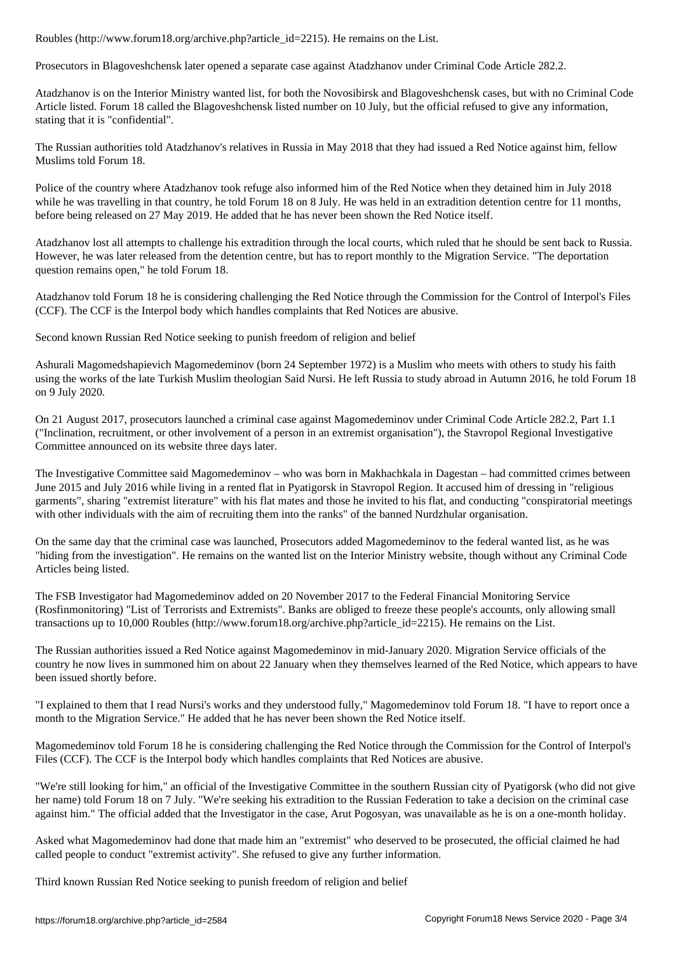Prosecutors in Blagoveshchensk later opened a separate case against Atadzhanov under Criminal Code Article 282.2.

Atadzhanov is on the Interior Ministry wanted list, for both the Novosibirsk and Blagoveshchensk cases, but with no Criminal Code Article listed. Forum 18 called the Blagoveshchensk listed number on 10 July, but the official refused to give any information, stating that it is "confidential".

The Russian authorities told Atadzhanov's relatives in Russia in May 2018 that they had issued a Red Notice against him, fellow Muslims told Forum 18.

Police of the country where Atadzhanov took refuge also informed him of the Red Notice when they detained him in July 2018 while he was travelling in that country, he told Forum 18 on 8 July. He was held in an extradition detention centre for 11 months, before being released on 27 May 2019. He added that he has never been shown the Red Notice itself.

Atadzhanov lost all attempts to challenge his extradition through the local courts, which ruled that he should be sent back to Russia. However, he was later released from the detention centre, but has to report monthly to the Migration Service. "The deportation question remains open," he told Forum 18.

Atadzhanov told Forum 18 he is considering challenging the Red Notice through the Commission for the Control of Interpol's Files (CCF). The CCF is the Interpol body which handles complaints that Red Notices are abusive.

Second known Russian Red Notice seeking to punish freedom of religion and belief

Ashurali Magomedshapievich Magomedeminov (born 24 September 1972) is a Muslim who meets with others to study his faith using the works of the late Turkish Muslim theologian Said Nursi. He left Russia to study abroad in Autumn 2016, he told Forum 18 on 9 July 2020.

On 21 August 2017, prosecutors launched a criminal case against Magomedeminov under Criminal Code Article 282.2, Part 1.1 ("Inclination, recruitment, or other involvement of a person in an extremist organisation"), the Stavropol Regional Investigative Committee announced on its website three days later.

The Investigative Committee said Magomedeminov – who was born in Makhachkala in Dagestan – had committed crimes between June 2015 and July 2016 while living in a rented flat in Pyatigorsk in Stavropol Region. It accused him of dressing in "religious garments", sharing "extremist literature" with his flat mates and those he invited to his flat, and conducting "conspiratorial meetings with other individuals with the aim of recruiting them into the ranks" of the banned Nurdzhular organisation.

On the same day that the criminal case was launched, Prosecutors added Magomedeminov to the federal wanted list, as he was "hiding from the investigation". He remains on the wanted list on the Interior Ministry website, though without any Criminal Code Articles being listed.

The FSB Investigator had Magomedeminov added on 20 November 2017 to the Federal Financial Monitoring Service (Rosfinmonitoring) "List of Terrorists and Extremists". Banks are obliged to freeze these people's accounts, only allowing small transactions up to 10,000 Roubles (http://www.forum18.org/archive.php?article\_id=2215). He remains on the List.

The Russian authorities issued a Red Notice against Magomedeminov in mid-January 2020. Migration Service officials of the country he now lives in summoned him on about 22 January when they themselves learned of the Red Notice, which appears to have been issued shortly before.

"I explained to them that I read Nursi's works and they understood fully," Magomedeminov told Forum 18. "I have to report once a month to the Migration Service." He added that he has never been shown the Red Notice itself.

Magomedeminov told Forum 18 he is considering challenging the Red Notice through the Commission for the Control of Interpol's Files (CCF). The CCF is the Interpol body which handles complaints that Red Notices are abusive.

"We're still looking for him," an official of the Investigative Committee in the southern Russian city of Pyatigorsk (who did not give her name) told Forum 18 on 7 July. "We're seeking his extradition to the Russian Federation to take a decision on the criminal case against him." The official added that the Investigator in the case, Arut Pogosyan, was unavailable as he is on a one-month holiday.

Asked what Magomedeminov had done that made him an "extremist" who deserved to be prosecuted, the official claimed he had called people to conduct "extremist activity". She refused to give any further information.

Third known Russian Red Notice seeking to punish freedom of religion and belief